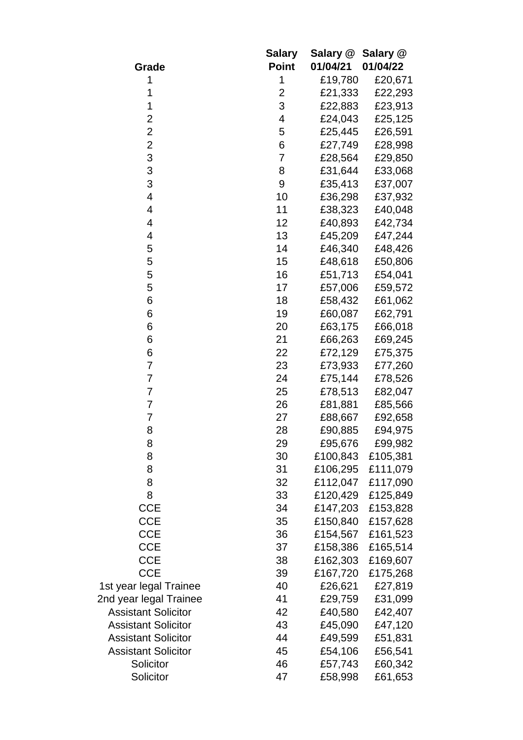|                            | <b>Salary</b>  | Salary @ | Salary @ |
|----------------------------|----------------|----------|----------|
| Grade                      | <b>Point</b>   | 01/04/21 | 01/04/22 |
| 1                          | 1              | £19,780  | £20,671  |
| 1                          | $\overline{2}$ | £21,333  | £22,293  |
| 1                          | 3              | £22,883  | £23,913  |
| $\overline{2}$             | 4              | £24,043  | £25,125  |
| $\overline{2}$             | 5              | £25,445  | £26,591  |
| $\overline{c}$             | 6              | £27,749  | £28,998  |
| 3                          | 7              | £28,564  | £29,850  |
| 3                          | 8              | £31,644  | £33,068  |
| 3                          | 9              | £35,413  | £37,007  |
| 4                          | 10             | £36,298  | £37,932  |
| 4                          | 11             | £38,323  | £40,048  |
| 4                          | 12             | £40,893  | £42,734  |
| 4                          | 13             | £45,209  | £47,244  |
| 5                          | 14             | £46,340  | £48,426  |
| 5                          | 15             | £48,618  | £50,806  |
| 5                          | 16             | £51,713  | £54,041  |
| 5                          | 17             | £57,006  | £59,572  |
| 6                          | 18             | £58,432  | £61,062  |
| 6                          | 19             | £60,087  | £62,791  |
| 6                          | 20             | £63,175  | £66,018  |
| 6                          | 21             | £66,263  | £69,245  |
| 6                          | 22             | £72,129  | £75,375  |
| 7                          | 23             | £73,933  | £77,260  |
| $\overline{7}$             | 24             | £75,144  | £78,526  |
| $\overline{7}$             | 25             | £78,513  | £82,047  |
| 7                          | 26             | £81,881  | £85,566  |
| 7                          | 27             | £88,667  | £92,658  |
| 8                          | 28             | £90,885  | £94,975  |
| 8                          | 29             | £95,676  | £99,982  |
| 8                          | 30             | £100,843 | £105,381 |
| 8                          | 31             | £106,295 | £111,079 |
| 8                          | 32             | £112,047 | £117,090 |
| 8                          | 33             | £120,429 | £125,849 |
| <b>CCE</b>                 | 34             | £147,203 | £153,828 |
| <b>CCE</b>                 | 35             | £150,840 | £157,628 |
| <b>CCE</b>                 | 36             | £154,567 | £161,523 |
| <b>CCE</b>                 | 37             | £158,386 | £165,514 |
| <b>CCE</b>                 | 38             | £162,303 | £169,607 |
| <b>CCE</b>                 | 39             | £167,720 | £175,268 |
| 1st year legal Trainee     | 40             | £26,621  | £27,819  |
| 2nd year legal Trainee     | 41             | £29,759  | £31,099  |
| <b>Assistant Solicitor</b> | 42             | £40,580  | £42,407  |
| <b>Assistant Solicitor</b> | 43             | £45,090  | £47,120  |
| <b>Assistant Solicitor</b> | 44             | £49,599  | £51,831  |
| <b>Assistant Solicitor</b> | 45             | £54,106  | £56,541  |
| Solicitor                  | 46             | £57,743  | £60,342  |
| Solicitor                  | 47             | £58,998  | £61,653  |
|                            |                |          |          |